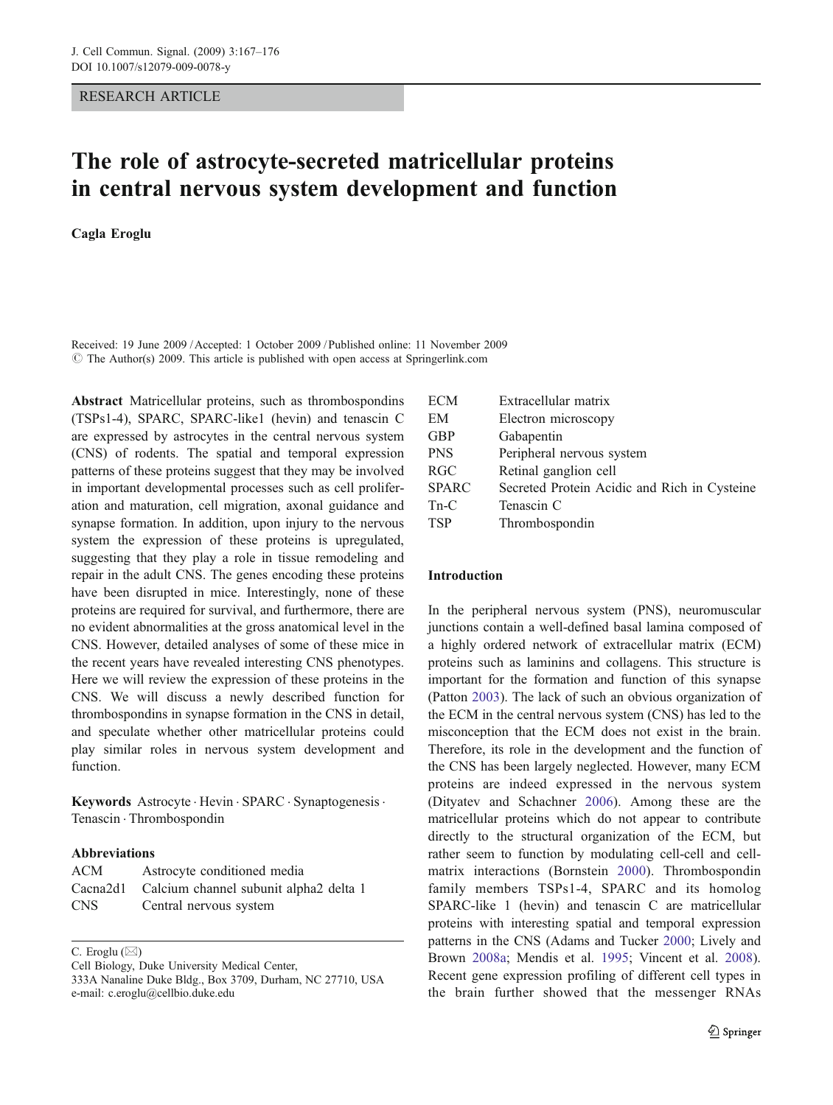#### RESEARCH ARTICLE

# The role of astrocyte-secreted matricellular proteins in central nervous system development and function

Cagla Eroglu

Received: 19 June 2009 /Accepted: 1 October 2009 / Published online: 11 November 2009  $\circ$  The Author(s) 2009. This article is published with open access at Springerlink.com

Abstract Matricellular proteins, such as thrombospondins (TSPs1-4), SPARC, SPARC-like1 (hevin) and tenascin C are expressed by astrocytes in the central nervous system (CNS) of rodents. The spatial and temporal expression patterns of these proteins suggest that they may be involved in important developmental processes such as cell proliferation and maturation, cell migration, axonal guidance and synapse formation. In addition, upon injury to the nervous system the expression of these proteins is upregulated, suggesting that they play a role in tissue remodeling and repair in the adult CNS. The genes encoding these proteins have been disrupted in mice. Interestingly, none of these proteins are required for survival, and furthermore, there are no evident abnormalities at the gross anatomical level in the CNS. However, detailed analyses of some of these mice in the recent years have revealed interesting CNS phenotypes. Here we will review the expression of these proteins in the CNS. We will discuss a newly described function for thrombospondins in synapse formation in the CNS in detail, and speculate whether other matricellular proteins could play similar roles in nervous system development and function.

Keywords Astrocyte . Hevin . SPARC . Synaptogenesis. Tenascin . Thrombospondin

#### Abbreviations

| ACM | Astrocyte conditioned media                     |
|-----|-------------------------------------------------|
|     | Cacna2d1 Calcium channel subunit alpha2 delta 1 |
| CNS | Central nervous system                          |

C. Eroglu (*\**)

Cell Biology, Duke University Medical Center,

| <b>ECM</b>   | Extracellular matrix                         |
|--------------|----------------------------------------------|
| EM           | Electron microscopy                          |
| <b>GBP</b>   | Gabapentin                                   |
| <b>PNS</b>   | Peripheral nervous system                    |
| <b>RGC</b>   | Retinal ganglion cell                        |
| <b>SPARC</b> | Secreted Protein Acidic and Rich in Cysteine |
| $Tn-C$       | Tenascin C                                   |
| <b>TSP</b>   | Thrombospondin                               |

#### Introduction

In the peripheral nervous system (PNS), neuromuscular junctions contain a well-defined basal lamina composed of a highly ordered network of extracellular matrix (ECM) proteins such as laminins and collagens. This structure is important for the formation and function of this synapse (Patton [2003\)](#page-9-0). The lack of such an obvious organization of the ECM in the central nervous system (CNS) has led to the misconception that the ECM does not exist in the brain. Therefore, its role in the development and the function of the CNS has been largely neglected. However, many ECM proteins are indeed expressed in the nervous system (Dityatev and Schachner [2006\)](#page-7-0). Among these are the matricellular proteins which do not appear to contribute directly to the structural organization of the ECM, but rather seem to function by modulating cell-cell and cellmatrix interactions (Bornstein [2000](#page-7-0)). Thrombospondin family members TSPs1-4, SPARC and its homolog SPARC-like 1 (hevin) and tenascin C are matricellular proteins with interesting spatial and temporal expression patterns in the CNS (Adams and Tucker [2000](#page-7-0); Lively and Brown [2008a](#page-8-0); Mendis et al. [1995;](#page-8-0) Vincent et al. [2008\)](#page-9-0). Recent gene expression profiling of different cell types in the brain further showed that the messenger RNAs

<sup>333</sup>A Nanaline Duke Bldg., Box 3709, Durham, NC 27710, USA e-mail: c.eroglu@cellbio.duke.edu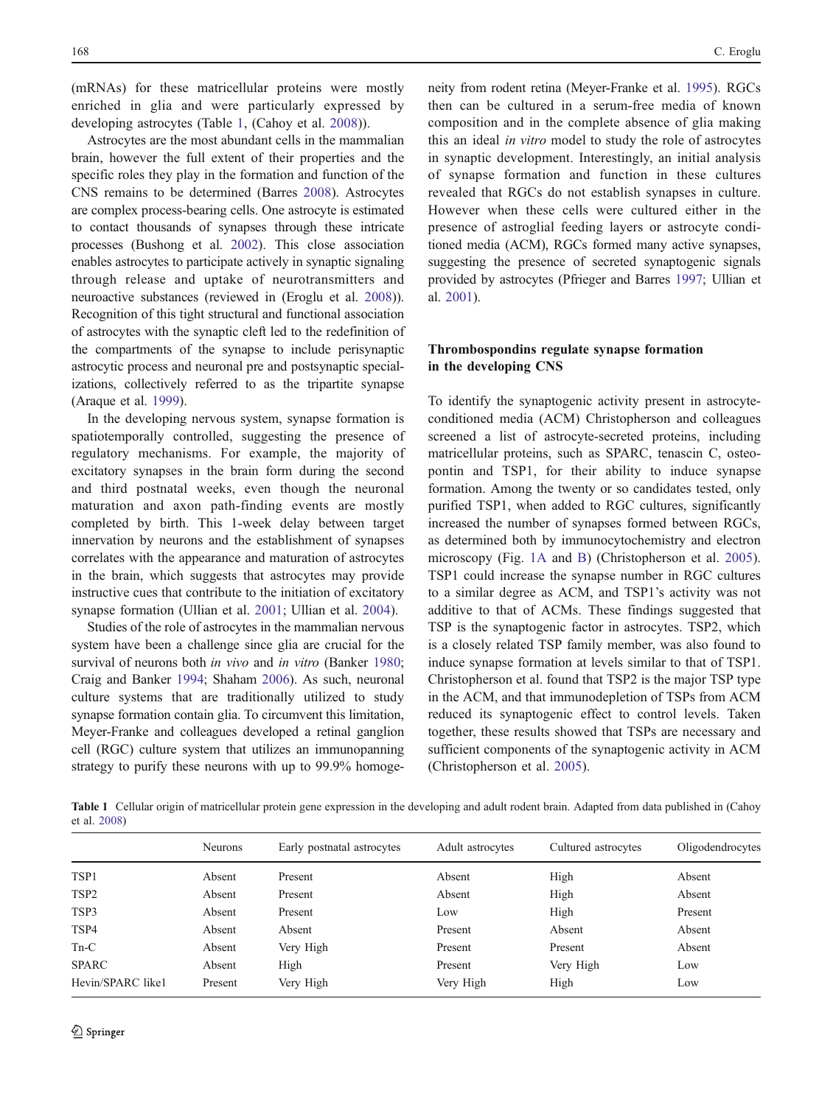<span id="page-1-0"></span>(mRNAs) for these matricellular proteins were mostly enriched in glia and were particularly expressed by developing astrocytes (Table 1, (Cahoy et al. [2008\)](#page-7-0)).

Astrocytes are the most abundant cells in the mammalian brain, however the full extent of their properties and the specific roles they play in the formation and function of the CNS remains to be determined (Barres [2008](#page-7-0)). Astrocytes are complex process-bearing cells. One astrocyte is estimated to contact thousands of synapses through these intricate processes (Bushong et al. [2002\)](#page-7-0). This close association enables astrocytes to participate actively in synaptic signaling through release and uptake of neurotransmitters and neuroactive substances (reviewed in (Eroglu et al. [2008](#page-7-0))). Recognition of this tight structural and functional association of astrocytes with the synaptic cleft led to the redefinition of the compartments of the synapse to include perisynaptic astrocytic process and neuronal pre and postsynaptic specializations, collectively referred to as the tripartite synapse (Araque et al. [1999](#page-7-0)).

In the developing nervous system, synapse formation is spatiotemporally controlled, suggesting the presence of regulatory mechanisms. For example, the majority of excitatory synapses in the brain form during the second and third postnatal weeks, even though the neuronal maturation and axon path-finding events are mostly completed by birth. This 1-week delay between target innervation by neurons and the establishment of synapses correlates with the appearance and maturation of astrocytes in the brain, which suggests that astrocytes may provide instructive cues that contribute to the initiation of excitatory synapse formation (Ullian et al. [2001](#page-9-0); Ullian et al. [2004](#page-9-0)).

Studies of the role of astrocytes in the mammalian nervous system have been a challenge since glia are crucial for the survival of neurons both in vivo and in vitro (Banker [1980](#page-7-0); Craig and Banker [1994;](#page-7-0) Shaham [2006](#page-9-0)). As such, neuronal culture systems that are traditionally utilized to study synapse formation contain glia. To circumvent this limitation, Meyer-Franke and colleagues developed a retinal ganglion cell (RGC) culture system that utilizes an immunopanning strategy to purify these neurons with up to 99.9% homogeneity from rodent retina (Meyer-Franke et al. [1995\)](#page-8-0). RGCs then can be cultured in a serum-free media of known composition and in the complete absence of glia making this an ideal in vitro model to study the role of astrocytes in synaptic development. Interestingly, an initial analysis of synapse formation and function in these cultures revealed that RGCs do not establish synapses in culture. However when these cells were cultured either in the presence of astroglial feeding layers or astrocyte conditioned media (ACM), RGCs formed many active synapses, suggesting the presence of secreted synaptogenic signals provided by astrocytes (Pfrieger and Barres [1997](#page-9-0); Ullian et al. [2001](#page-9-0)).

### Thrombospondins regulate synapse formation in the developing CNS

To identify the synaptogenic activity present in astrocyteconditioned media (ACM) Christopherson and colleagues screened a list of astrocyte-secreted proteins, including matricellular proteins, such as SPARC, tenascin C, osteopontin and TSP1, for their ability to induce synapse formation. Among the twenty or so candidates tested, only purified TSP1, when added to RGC cultures, significantly increased the number of synapses formed between RGCs, as determined both by immunocytochemistry and electron microscopy (Fig. [1A](#page-2-0) and [B\)](#page-2-0) (Christopherson et al. [2005\)](#page-7-0). TSP1 could increase the synapse number in RGC cultures to a similar degree as ACM, and TSP1's activity was not additive to that of ACMs. These findings suggested that TSP is the synaptogenic factor in astrocytes. TSP2, which is a closely related TSP family member, was also found to induce synapse formation at levels similar to that of TSP1. Christopherson et al. found that TSP2 is the major TSP type in the ACM, and that immunodepletion of TSPs from ACM reduced its synaptogenic effect to control levels. Taken together, these results showed that TSPs are necessary and sufficient components of the synaptogenic activity in ACM (Christopherson et al. [2005](#page-7-0)).

Table 1 Cellular origin of matricellular protein gene expression in the developing and adult rodent brain. Adapted from data published in (Cahoy et al. [2008\)](#page-7-0)

|                   | <b>Neurons</b> | Early postnatal astrocytes | Adult astrocytes | Cultured astrocytes | Oligodendrocytes |
|-------------------|----------------|----------------------------|------------------|---------------------|------------------|
| TSP1              | Absent         | Present                    | Absent           | High                | Absent           |
| TSP <sub>2</sub>  | Absent         | Present                    | Absent           | High                | Absent           |
| TSP3              | Absent         | Present                    | Low              | High                | Present          |
| TSP4              | Absent         | Absent                     | Present          | Absent              | Absent           |
| $Tn-C$            | Absent         | Very High                  | Present          | Present             | Absent           |
| <b>SPARC</b>      | Absent         | High                       | Present          | Very High           | Low              |
| Hevin/SPARC like1 | Present        | Very High                  | Very High        | High                | Low              |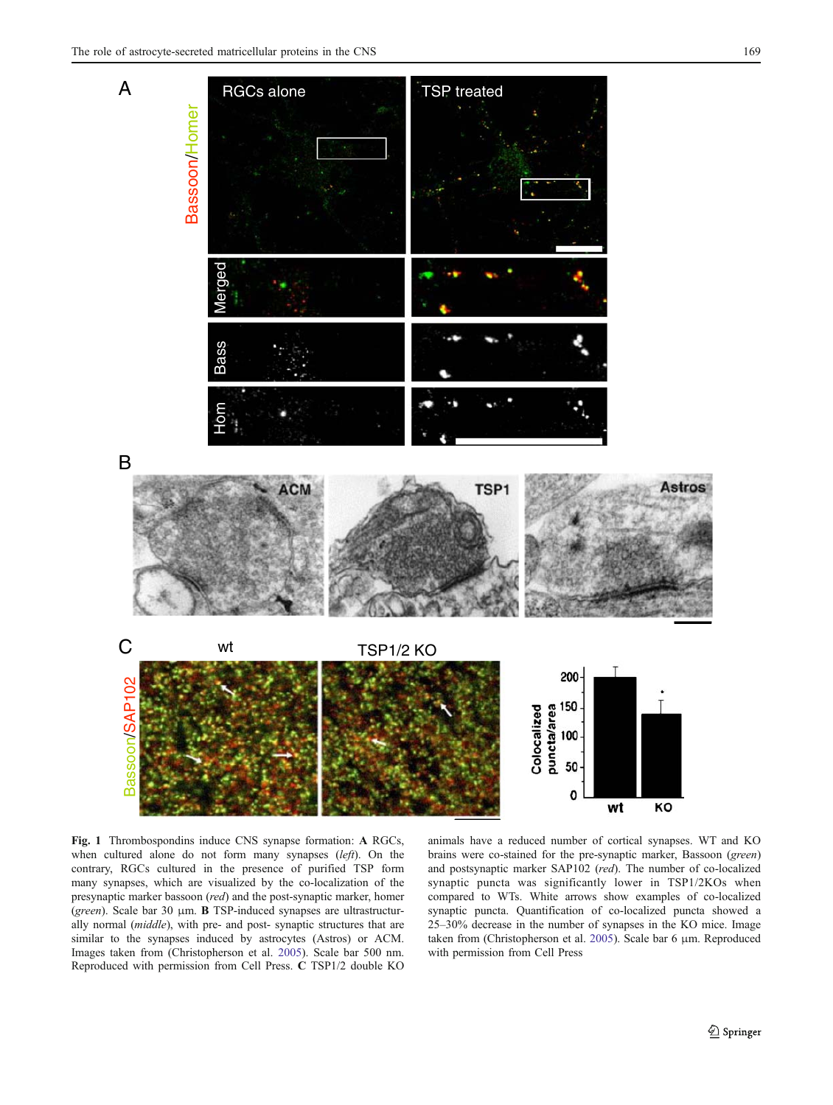<span id="page-2-0"></span>

Fig. 1 Thrombospondins induce CNS synapse formation: A RGCs, when cultured alone do not form many synapses (left). On the contrary, RGCs cultured in the presence of purified TSP form many synapses, which are visualized by the co-localization of the presynaptic marker bassoon (red) and the post-synaptic marker, homer (green). Scale bar 30 μm. B TSP-induced synapses are ultrastructurally normal (middle), with pre- and post- synaptic structures that are similar to the synapses induced by astrocytes (Astros) or ACM. Images taken from (Christopherson et al. [2005\)](#page-7-0). Scale bar 500 nm. Reproduced with permission from Cell Press. C TSP1/2 double KO

animals have a reduced number of cortical synapses. WT and KO brains were co-stained for the pre-synaptic marker, Bassoon (green) and postsynaptic marker SAP102 (red). The number of co-localized synaptic puncta was significantly lower in TSP1/2KOs when compared to WTs. White arrows show examples of co-localized synaptic puncta. Quantification of co-localized puncta showed a 25–30% decrease in the number of synapses in the KO mice. Image taken from (Christopherson et al. [2005\)](#page-7-0). Scale bar 6 μm. Reproduced with permission from Cell Press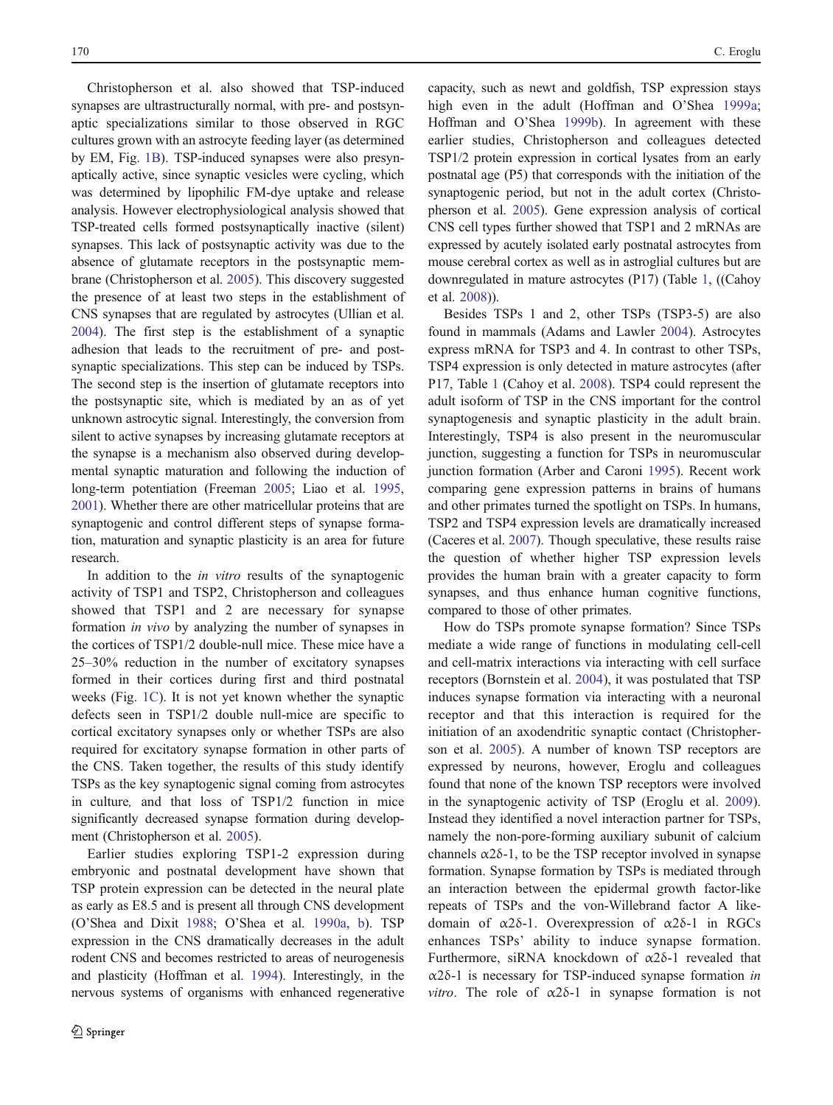Christopherson et al. also showed that TSP-induced synapses are ultrastructurally normal, with pre- and postsynaptic specializations similar to those observed in RGC cultures grown with an astrocyte feeding layer (as determined by EM, Fig. [1B\)](#page-2-0). TSP-induced synapses were also presynaptically active, since synaptic vesicles were cycling, which was determined by lipophilic FM-dye uptake and release analysis. However electrophysiological analysis showed that TSP-treated cells formed postsynaptically inactive (silent) synapses. This lack of postsynaptic activity was due to the absence of glutamate receptors in the postsynaptic membrane (Christopherson et al. [2005\)](#page-7-0). This discovery suggested the presence of at least two steps in the establishment of CNS synapses that are regulated by astrocytes (Ullian et al. [2004\)](#page-9-0). The first step is the establishment of a synaptic adhesion that leads to the recruitment of pre- and postsynaptic specializations. This step can be induced by TSPs. The second step is the insertion of glutamate receptors into the postsynaptic site, which is mediated by an as of yet unknown astrocytic signal. Interestingly, the conversion from silent to active synapses by increasing glutamate receptors at the synapse is a mechanism also observed during developmental synaptic maturation and following the induction of long-term potentiation (Freeman [2005](#page-8-0); Liao et al. [1995,](#page-8-0) [2001\)](#page-8-0). Whether there are other matricellular proteins that are synaptogenic and control different steps of synapse formation, maturation and synaptic plasticity is an area for future research.

In addition to the *in vitro* results of the synaptogenic activity of TSP1 and TSP2, Christopherson and colleagues showed that TSP1 and 2 are necessary for synapse formation *in vivo* by analyzing the number of synapses in the cortices of TSP1/2 double-null mice. These mice have a 25–30% reduction in the number of excitatory synapses formed in their cortices during first and third postnatal weeks (Fig. [1C](#page-2-0)). It is not yet known whether the synaptic defects seen in TSP1/2 double null-mice are specific to cortical excitatory synapses only or whether TSPs are also required for excitatory synapse formation in other parts of the CNS. Taken together, the results of this study identify TSPs as the key synaptogenic signal coming from astrocytes in culture, and that loss of TSP1/2 function in mice significantly decreased synapse formation during development (Christopherson et al. [2005](#page-7-0)).

Earlier studies exploring TSP1-2 expression during embryonic and postnatal development have shown that TSP protein expression can be detected in the neural plate as early as E8.5 and is present all through CNS development (O'Shea and Dixit [1988;](#page-9-0) O'Shea et al. [1990a,](#page-9-0) [b\)](#page-9-0). TSP expression in the CNS dramatically decreases in the adult rodent CNS and becomes restricted to areas of neurogenesis and plasticity (Hoffman et al. [1994\)](#page-8-0). Interestingly, in the nervous systems of organisms with enhanced regenerative capacity, such as newt and goldfish, TSP expression stays high even in the adult (Hoffman and O'Shea [1999a;](#page-8-0) Hoffman and O'Shea [1999b\)](#page-8-0). In agreement with these earlier studies, Christopherson and colleagues detected TSP1/2 protein expression in cortical lysates from an early postnatal age (P5) that corresponds with the initiation of the synaptogenic period, but not in the adult cortex (Christopherson et al. [2005](#page-7-0)). Gene expression analysis of cortical CNS cell types further showed that TSP1 and 2 mRNAs are expressed by acutely isolated early postnatal astrocytes from mouse cerebral cortex as well as in astroglial cultures but are downregulated in mature astrocytes (P17) (Table [1,](#page-1-0) ((Cahoy et al. [2008](#page-7-0))).

Besides TSPs 1 and 2, other TSPs (TSP3-5) are also found in mammals (Adams and Lawler [2004](#page-7-0)). Astrocytes express mRNA for TSP3 and 4. In contrast to other TSPs, TSP4 expression is only detected in mature astrocytes (after P17, Table [1](#page-1-0) (Cahoy et al. [2008](#page-7-0)). TSP4 could represent the adult isoform of TSP in the CNS important for the control synaptogenesis and synaptic plasticity in the adult brain. Interestingly, TSP4 is also present in the neuromuscular junction, suggesting a function for TSPs in neuromuscular junction formation (Arber and Caroni [1995](#page-7-0)). Recent work comparing gene expression patterns in brains of humans and other primates turned the spotlight on TSPs. In humans, TSP2 and TSP4 expression levels are dramatically increased (Caceres et al. [2007](#page-7-0)). Though speculative, these results raise the question of whether higher TSP expression levels provides the human brain with a greater capacity to form synapses, and thus enhance human cognitive functions, compared to those of other primates.

How do TSPs promote synapse formation? Since TSPs mediate a wide range of functions in modulating cell-cell and cell-matrix interactions via interacting with cell surface receptors (Bornstein et al. [2004](#page-7-0)), it was postulated that TSP induces synapse formation via interacting with a neuronal receptor and that this interaction is required for the initiation of an axodendritic synaptic contact (Christopherson et al. [2005\)](#page-7-0). A number of known TSP receptors are expressed by neurons, however, Eroglu and colleagues found that none of the known TSP receptors were involved in the synaptogenic activity of TSP (Eroglu et al. [2009\)](#page-7-0). Instead they identified a novel interaction partner for TSPs, namely the non-pore-forming auxiliary subunit of calcium channels  $\alpha$ 2δ-1, to be the TSP receptor involved in synapse formation. Synapse formation by TSPs is mediated through an interaction between the epidermal growth factor-like repeats of TSPs and the von-Willebrand factor A likedomain of α2δ-1. Overexpression of α2δ-1 in RGCs enhances TSPs' ability to induce synapse formation. Furthermore, siRNA knockdown of α2δ-1 revealed that α2δ-1 is necessary for TSP-induced synapse formation in *vitro*. The role of  $\alpha$ 2 $\delta$ -1 in synapse formation is not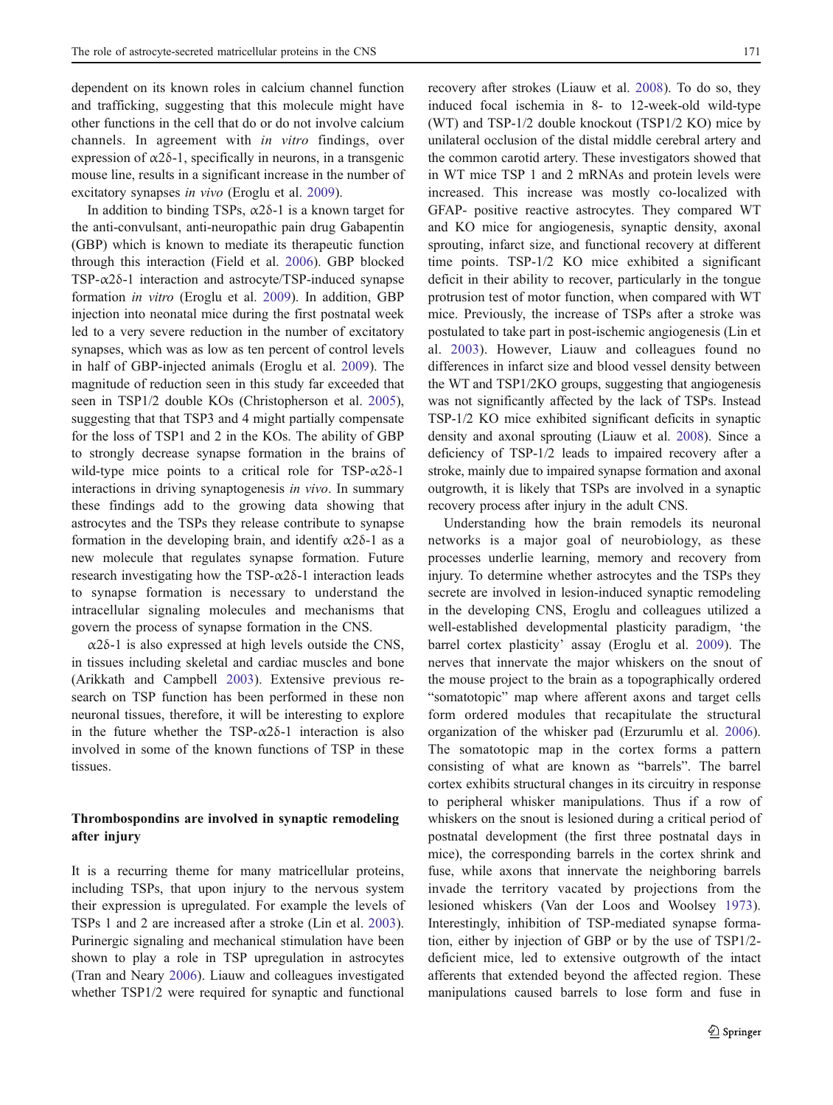dependent on its known roles in calcium channel function and trafficking, suggesting that this molecule might have other functions in the cell that do or do not involve calcium channels. In agreement with in vitro findings, over expression of  $\alpha$ 2 $\delta$ -1, specifically in neurons, in a transgenic mouse line, results in a significant increase in the number of excitatory synapses in vivo (Eroglu et al. [2009\)](#page-7-0).

In addition to binding TSPs,  $\alpha$ 2 $\delta$ -1 is a known target for the anti-convulsant, anti-neuropathic pain drug Gabapentin (GBP) which is known to mediate its therapeutic function through this interaction (Field et al. [2006](#page-8-0)). GBP blocked TSP-α2δ-1 interaction and astrocyte/TSP-induced synapse formation in vitro (Eroglu et al. [2009](#page-7-0)). In addition, GBP injection into neonatal mice during the first postnatal week led to a very severe reduction in the number of excitatory synapses, which was as low as ten percent of control levels in half of GBP-injected animals (Eroglu et al. [2009](#page-7-0)). The magnitude of reduction seen in this study far exceeded that seen in TSP1/2 double KOs (Christopherson et al. [2005](#page-7-0)), suggesting that that TSP3 and 4 might partially compensate for the loss of TSP1 and 2 in the KOs. The ability of GBP to strongly decrease synapse formation in the brains of wild-type mice points to a critical role for TSP- $\alpha$ 2 $\delta$ -1 interactions in driving synaptogenesis in vivo. In summary these findings add to the growing data showing that astrocytes and the TSPs they release contribute to synapse formation in the developing brain, and identify  $\alpha$ 2δ-1 as a new molecule that regulates synapse formation. Future research investigating how the TSP- $\alpha$ 2δ-1 interaction leads to synapse formation is necessary to understand the intracellular signaling molecules and mechanisms that govern the process of synapse formation in the CNS.

α2δ-1 is also expressed at high levels outside the CNS, in tissues including skeletal and cardiac muscles and bone (Arikkath and Campbell [2003\)](#page-7-0). Extensive previous research on TSP function has been performed in these non neuronal tissues, therefore, it will be interesting to explore in the future whether the TSP- $\alpha$ 2 $\delta$ -1 interaction is also involved in some of the known functions of TSP in these tissues.

## Thrombospondins are involved in synaptic remodeling after injury

It is a recurring theme for many matricellular proteins, including TSPs, that upon injury to the nervous system their expression is upregulated. For example the levels of TSPs 1 and 2 are increased after a stroke (Lin et al. [2003](#page-8-0)). Purinergic signaling and mechanical stimulation have been shown to play a role in TSP upregulation in astrocytes (Tran and Neary [2006\)](#page-9-0). Liauw and colleagues investigated whether TSP1/2 were required for synaptic and functional

recovery after strokes (Liauw et al. [2008\)](#page-8-0). To do so, they induced focal ischemia in 8- to 12-week-old wild-type (WT) and TSP-1/2 double knockout (TSP1/2 KO) mice by unilateral occlusion of the distal middle cerebral artery and the common carotid artery. These investigators showed that in WT mice TSP 1 and 2 mRNAs and protein levels were increased. This increase was mostly co-localized with GFAP- positive reactive astrocytes. They compared WT and KO mice for angiogenesis, synaptic density, axonal sprouting, infarct size, and functional recovery at different time points. TSP-1/2 KO mice exhibited a significant deficit in their ability to recover, particularly in the tongue protrusion test of motor function, when compared with WT mice. Previously, the increase of TSPs after a stroke was postulated to take part in post-ischemic angiogenesis (Lin et al. [2003\)](#page-8-0). However, Liauw and colleagues found no differences in infarct size and blood vessel density between the WT and TSP1/2KO groups, suggesting that angiogenesis was not significantly affected by the lack of TSPs. Instead TSP-1/2 KO mice exhibited significant deficits in synaptic density and axonal sprouting (Liauw et al. [2008](#page-8-0)). Since a deficiency of TSP-1/2 leads to impaired recovery after a stroke, mainly due to impaired synapse formation and axonal outgrowth, it is likely that TSPs are involved in a synaptic recovery process after injury in the adult CNS.

Understanding how the brain remodels its neuronal networks is a major goal of neurobiology, as these processes underlie learning, memory and recovery from injury. To determine whether astrocytes and the TSPs they secrete are involved in lesion-induced synaptic remodeling in the developing CNS, Eroglu and colleagues utilized a well-established developmental plasticity paradigm, 'the barrel cortex plasticity' assay (Eroglu et al. [2009\)](#page-7-0). The nerves that innervate the major whiskers on the snout of the mouse project to the brain as a topographically ordered "somatotopic" map where afferent axons and target cells form ordered modules that recapitulate the structural organization of the whisker pad (Erzurumlu et al. [2006\)](#page-8-0). The somatotopic map in the cortex forms a pattern consisting of what are known as "barrels". The barrel cortex exhibits structural changes in its circuitry in response to peripheral whisker manipulations. Thus if a row of whiskers on the snout is lesioned during a critical period of postnatal development (the first three postnatal days in mice), the corresponding barrels in the cortex shrink and fuse, while axons that innervate the neighboring barrels invade the territory vacated by projections from the lesioned whiskers (Van der Loos and Woolsey [1973\)](#page-9-0). Interestingly, inhibition of TSP-mediated synapse formation, either by injection of GBP or by the use of TSP1/2 deficient mice, led to extensive outgrowth of the intact afferents that extended beyond the affected region. These manipulations caused barrels to lose form and fuse in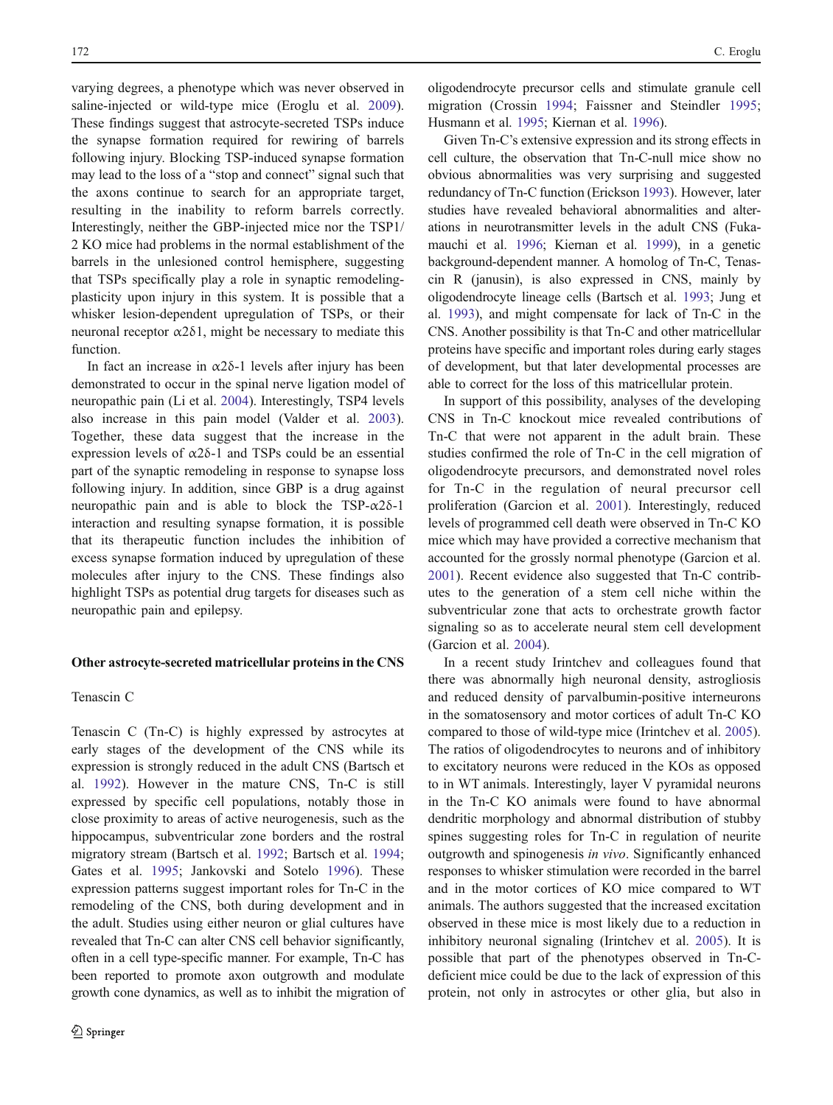varying degrees, a phenotype which was never observed in saline-injected or wild-type mice (Eroglu et al. [2009](#page-7-0)). These findings suggest that astrocyte-secreted TSPs induce the synapse formation required for rewiring of barrels following injury. Blocking TSP-induced synapse formation may lead to the loss of a "stop and connect" signal such that the axons continue to search for an appropriate target, resulting in the inability to reform barrels correctly. Interestingly, neither the GBP-injected mice nor the TSP1/ 2 KO mice had problems in the normal establishment of the barrels in the unlesioned control hemisphere, suggesting that TSPs specifically play a role in synaptic remodelingplasticity upon injury in this system. It is possible that a whisker lesion-dependent upregulation of TSPs, or their neuronal receptor  $α2δ1$ , might be necessary to mediate this function.

In fact an increase in  $\alpha$ 2δ-1 levels after injury has been demonstrated to occur in the spinal nerve ligation model of neuropathic pain (Li et al. [2004\)](#page-8-0). Interestingly, TSP4 levels also increase in this pain model (Valder et al. [2003](#page-9-0)). Together, these data suggest that the increase in the expression levels of  $\alpha$ 2 $\delta$ -1 and TSPs could be an essential part of the synaptic remodeling in response to synapse loss following injury. In addition, since GBP is a drug against neuropathic pain and is able to block the TSP- $\alpha$ 2 $\delta$ -1 interaction and resulting synapse formation, it is possible that its therapeutic function includes the inhibition of excess synapse formation induced by upregulation of these molecules after injury to the CNS. These findings also highlight TSPs as potential drug targets for diseases such as neuropathic pain and epilepsy.

#### Other astrocyte-secreted matricellular proteins in the CNS

#### Tenascin C

Tenascin C (Tn-C) is highly expressed by astrocytes at early stages of the development of the CNS while its expression is strongly reduced in the adult CNS (Bartsch et al. [1992\)](#page-7-0). However in the mature CNS, Tn-C is still expressed by specific cell populations, notably those in close proximity to areas of active neurogenesis, such as the hippocampus, subventricular zone borders and the rostral migratory stream (Bartsch et al. [1992](#page-7-0); Bartsch et al. [1994](#page-7-0); Gates et al. [1995;](#page-8-0) Jankovski and Sotelo [1996\)](#page-8-0). These expression patterns suggest important roles for Tn-C in the remodeling of the CNS, both during development and in the adult. Studies using either neuron or glial cultures have revealed that Tn-C can alter CNS cell behavior significantly, often in a cell type-specific manner. For example, Tn-C has been reported to promote axon outgrowth and modulate growth cone dynamics, as well as to inhibit the migration of oligodendrocyte precursor cells and stimulate granule cell migration (Crossin [1994](#page-7-0); Faissner and Steindler [1995;](#page-8-0) Husmann et al. [1995](#page-8-0); Kiernan et al. [1996\)](#page-8-0).

Given Tn-C's extensive expression and its strong effects in cell culture, the observation that Tn-C-null mice show no obvious abnormalities was very surprising and suggested redundancy of Tn-C function (Erickson [1993\)](#page-7-0). However, later studies have revealed behavioral abnormalities and alterations in neurotransmitter levels in the adult CNS (Fukamauchi et al. [1996](#page-8-0); Kiernan et al. [1999](#page-8-0)), in a genetic background-dependent manner. A homolog of Tn-C, Tenascin R (janusin), is also expressed in CNS, mainly by oligodendrocyte lineage cells (Bartsch et al. [1993;](#page-7-0) Jung et al. [1993\)](#page-8-0), and might compensate for lack of Tn-C in the CNS. Another possibility is that Tn-C and other matricellular proteins have specific and important roles during early stages of development, but that later developmental processes are able to correct for the loss of this matricellular protein.

In support of this possibility, analyses of the developing CNS in Tn-C knockout mice revealed contributions of Tn-C that were not apparent in the adult brain. These studies confirmed the role of Tn-C in the cell migration of oligodendrocyte precursors, and demonstrated novel roles for Tn-C in the regulation of neural precursor cell proliferation (Garcion et al. [2001](#page-8-0)). Interestingly, reduced levels of programmed cell death were observed in Tn-C KO mice which may have provided a corrective mechanism that accounted for the grossly normal phenotype (Garcion et al. [2001](#page-8-0)). Recent evidence also suggested that Tn-C contributes to the generation of a stem cell niche within the subventricular zone that acts to orchestrate growth factor signaling so as to accelerate neural stem cell development (Garcion et al. [2004\)](#page-8-0).

In a recent study Irintchev and colleagues found that there was abnormally high neuronal density, astrogliosis and reduced density of parvalbumin-positive interneurons in the somatosensory and motor cortices of adult Tn-C KO compared to those of wild-type mice (Irintchev et al. [2005\)](#page-8-0). The ratios of oligodendrocytes to neurons and of inhibitory to excitatory neurons were reduced in the KOs as opposed to in WT animals. Interestingly, layer V pyramidal neurons in the Tn-C KO animals were found to have abnormal dendritic morphology and abnormal distribution of stubby spines suggesting roles for Tn-C in regulation of neurite outgrowth and spinogenesis in vivo. Significantly enhanced responses to whisker stimulation were recorded in the barrel and in the motor cortices of KO mice compared to WT animals. The authors suggested that the increased excitation observed in these mice is most likely due to a reduction in inhibitory neuronal signaling (Irintchev et al. [2005](#page-8-0)). It is possible that part of the phenotypes observed in Tn-Cdeficient mice could be due to the lack of expression of this protein, not only in astrocytes or other glia, but also in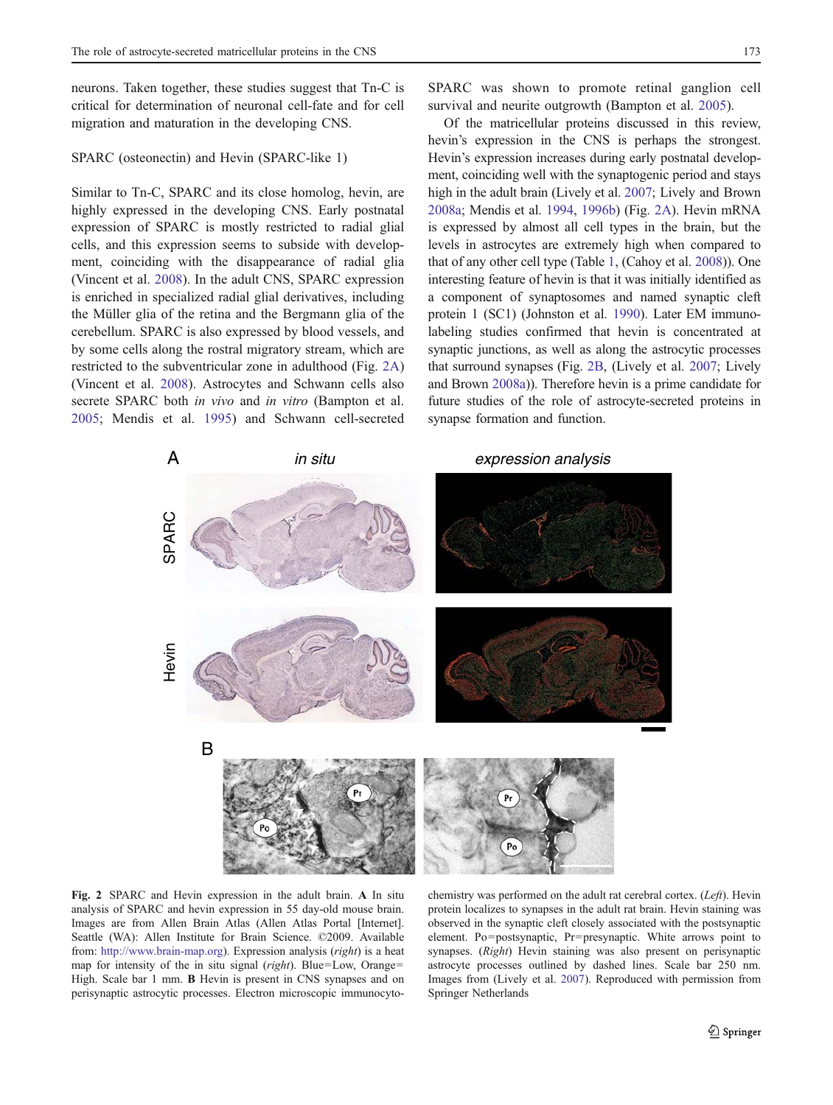neurons. Taken together, these studies suggest that Tn-C is critical for determination of neuronal cell-fate and for cell migration and maturation in the developing CNS.

#### SPARC (osteonectin) and Hevin (SPARC-like 1)

Similar to Tn-C, SPARC and its close homolog, hevin, are highly expressed in the developing CNS. Early postnatal expression of SPARC is mostly restricted to radial glial cells, and this expression seems to subside with development, coinciding with the disappearance of radial glia (Vincent et al. [2008\)](#page-9-0). In the adult CNS, SPARC expression is enriched in specialized radial glial derivatives, including the Müller glia of the retina and the Bergmann glia of the cerebellum. SPARC is also expressed by blood vessels, and by some cells along the rostral migratory stream, which are restricted to the subventricular zone in adulthood (Fig. 2A) (Vincent et al. [2008\)](#page-9-0). Astrocytes and Schwann cells also secrete SPARC both *in vivo* and *in vitro* (Bampton et al. [2005](#page-7-0); Mendis et al. [1995\)](#page-8-0) and Schwann cell-secreted SPARC was shown to promote retinal ganglion cell survival and neurite outgrowth (Bampton et al. [2005\)](#page-7-0).

Of the matricellular proteins discussed in this review, hevin's expression in the CNS is perhaps the strongest. Hevin's expression increases during early postnatal development, coinciding well with the synaptogenic period and stays high in the adult brain (Lively et al. [2007](#page-8-0); Lively and Brown [2008a;](#page-8-0) Mendis et al. [1994](#page-8-0), [1996b](#page-8-0)) (Fig. 2A). Hevin mRNA is expressed by almost all cell types in the brain, but the levels in astrocytes are extremely high when compared to that of any other cell type (Table [1,](#page-1-0) (Cahoy et al. [2008\)](#page-7-0)). One interesting feature of hevin is that it was initially identified as a component of synaptosomes and named synaptic cleft protein 1 (SC1) (Johnston et al. [1990\)](#page-8-0). Later EM immunolabeling studies confirmed that hevin is concentrated at synaptic junctions, as well as along the astrocytic processes that surround synapses (Fig. 2B, (Lively et al. [2007;](#page-8-0) Lively and Brown [2008a\)](#page-8-0)). Therefore hevin is a prime candidate for future studies of the role of astrocyte-secreted proteins in synapse formation and function.



Fig. 2 SPARC and Hevin expression in the adult brain. A In situ analysis of SPARC and hevin expression in 55 day-old mouse brain. Images are from Allen Brain Atlas (Allen Atlas Portal [Internet]. Seattle (WA): Allen Institute for Brain Science. ©2009. Available from: [http://www.brain-map.org\)](http://www.brain-map.org). Expression analysis (right) is a heat map for intensity of the in situ signal (right). Blue=Low, Orange= High. Scale bar 1 mm. **B** Hevin is present in CNS synapses and on perisynaptic astrocytic processes. Electron microscopic immunocytochemistry was performed on the adult rat cerebral cortex. (Left). Hevin protein localizes to synapses in the adult rat brain. Hevin staining was observed in the synaptic cleft closely associated with the postsynaptic element. Po=postsynaptic, Pr=presynaptic. White arrows point to synapses. (Right) Hevin staining was also present on perisynaptic astrocyte processes outlined by dashed lines. Scale bar 250 nm. Images from (Lively et al. [2007](#page-8-0)). Reproduced with permission from Springer Netherlands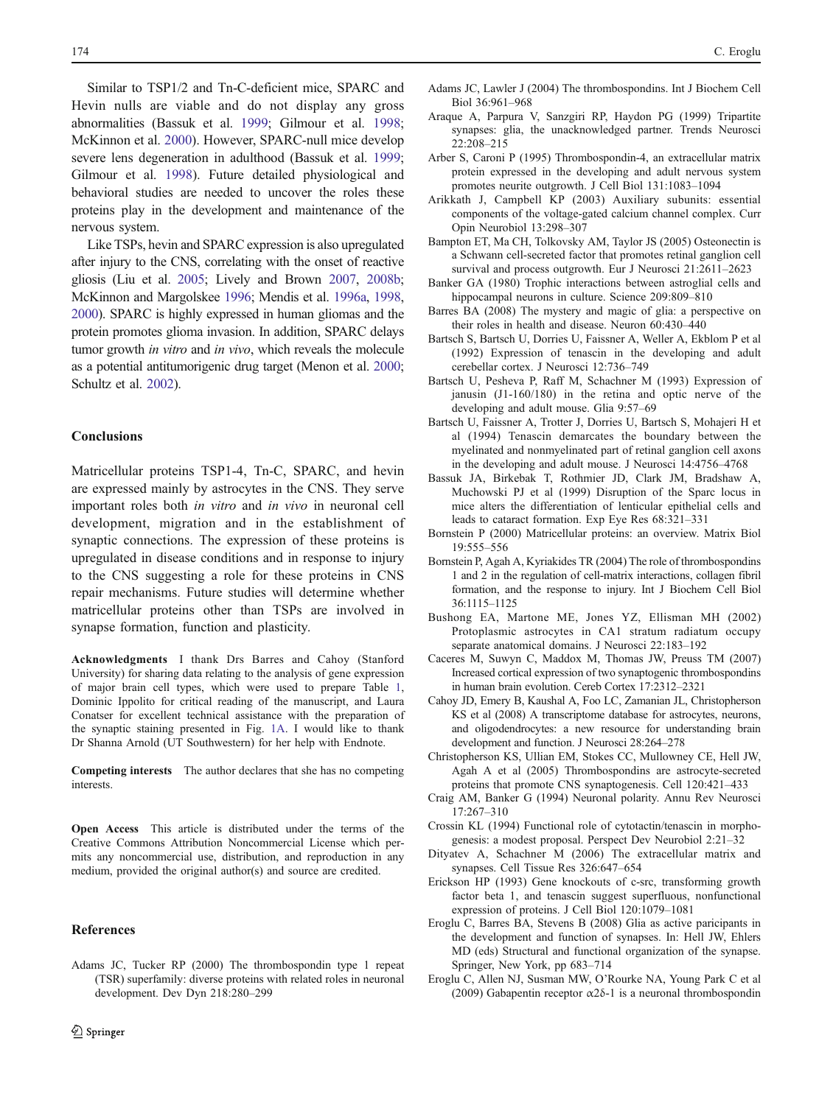<span id="page-7-0"></span>Similar to TSP1/2 and Tn-C-deficient mice, SPARC and Hevin nulls are viable and do not display any gross abnormalities (Bassuk et al. 1999; Gilmour et al. [1998](#page-8-0); McKinnon et al. [2000](#page-8-0)). However, SPARC-null mice develop severe lens degeneration in adulthood (Bassuk et al. 1999; Gilmour et al. [1998\)](#page-8-0). Future detailed physiological and behavioral studies are needed to uncover the roles these proteins play in the development and maintenance of the nervous system.

Like TSPs, hevin and SPARC expression is also upregulated after injury to the CNS, correlating with the onset of reactive gliosis (Liu et al. [2005](#page-8-0); Lively and Brown [2007,](#page-8-0) [2008b](#page-8-0); McKinnon and Margolskee [1996;](#page-8-0) Mendis et al. [1996a](#page-8-0), [1998,](#page-8-0) [2000](#page-8-0)). SPARC is highly expressed in human gliomas and the protein promotes glioma invasion. In addition, SPARC delays tumor growth *in vitro* and *in vivo*, which reveals the molecule as a potential antitumorigenic drug target (Menon et al. [2000](#page-8-0); Schultz et al. [2002](#page-9-0)).

#### **Conclusions**

Matricellular proteins TSP1-4, Tn-C, SPARC, and hevin are expressed mainly by astrocytes in the CNS. They serve important roles both *in vitro* and *in vivo* in neuronal cell development, migration and in the establishment of synaptic connections. The expression of these proteins is upregulated in disease conditions and in response to injury to the CNS suggesting a role for these proteins in CNS repair mechanisms. Future studies will determine whether matricellular proteins other than TSPs are involved in synapse formation, function and plasticity.

Acknowledgments I thank Drs Barres and Cahoy (Stanford University) for sharing data relating to the analysis of gene expression of major brain cell types, which were used to prepare Table [1](#page-1-0), Dominic Ippolito for critical reading of the manuscript, and Laura Conatser for excellent technical assistance with the preparation of the synaptic staining presented in Fig. [1A.](#page-2-0) I would like to thank Dr Shanna Arnold (UT Southwestern) for her help with Endnote.

Competing interests The author declares that she has no competing interests.

Open Access This article is distributed under the terms of the Creative Commons Attribution Noncommercial License which permits any noncommercial use, distribution, and reproduction in any medium, provided the original author(s) and source are credited.

#### **References**

Adams JC, Tucker RP (2000) The thrombospondin type 1 repeat (TSR) superfamily: diverse proteins with related roles in neuronal development. Dev Dyn 218:280–299

- Adams JC, Lawler J (2004) The thrombospondins. Int J Biochem Cell Biol 36:961–968
- Araque A, Parpura V, Sanzgiri RP, Haydon PG (1999) Tripartite synapses: glia, the unacknowledged partner. Trends Neurosci 22:208–215
- Arber S, Caroni P (1995) Thrombospondin-4, an extracellular matrix protein expressed in the developing and adult nervous system promotes neurite outgrowth. J Cell Biol 131:1083–1094
- Arikkath J, Campbell KP (2003) Auxiliary subunits: essential components of the voltage-gated calcium channel complex. Curr Opin Neurobiol 13:298–307
- Bampton ET, Ma CH, Tolkovsky AM, Taylor JS (2005) Osteonectin is a Schwann cell-secreted factor that promotes retinal ganglion cell survival and process outgrowth. Eur J Neurosci 21:2611–2623
- Banker GA (1980) Trophic interactions between astroglial cells and hippocampal neurons in culture. Science 209:809–810
- Barres BA (2008) The mystery and magic of glia: a perspective on their roles in health and disease. Neuron 60:430–440
- Bartsch S, Bartsch U, Dorries U, Faissner A, Weller A, Ekblom P et al (1992) Expression of tenascin in the developing and adult cerebellar cortex. J Neurosci 12:736–749
- Bartsch U, Pesheva P, Raff M, Schachner M (1993) Expression of janusin (J1-160/180) in the retina and optic nerve of the developing and adult mouse. Glia 9:57–69
- Bartsch U, Faissner A, Trotter J, Dorries U, Bartsch S, Mohajeri H et al (1994) Tenascin demarcates the boundary between the myelinated and nonmyelinated part of retinal ganglion cell axons in the developing and adult mouse. J Neurosci 14:4756–4768
- Bassuk JA, Birkebak T, Rothmier JD, Clark JM, Bradshaw A, Muchowski PJ et al (1999) Disruption of the Sparc locus in mice alters the differentiation of lenticular epithelial cells and leads to cataract formation. Exp Eye Res 68:321–331
- Bornstein P (2000) Matricellular proteins: an overview. Matrix Biol 19:555–556
- Bornstein P, Agah A, Kyriakides TR (2004) The role of thrombospondins 1 and 2 in the regulation of cell-matrix interactions, collagen fibril formation, and the response to injury. Int J Biochem Cell Biol 36:1115–1125
- Bushong EA, Martone ME, Jones YZ, Ellisman MH (2002) Protoplasmic astrocytes in CA1 stratum radiatum occupy separate anatomical domains. J Neurosci 22:183–192
- Caceres M, Suwyn C, Maddox M, Thomas JW, Preuss TM (2007) Increased cortical expression of two synaptogenic thrombospondins in human brain evolution. Cereb Cortex 17:2312–2321
- Cahoy JD, Emery B, Kaushal A, Foo LC, Zamanian JL, Christopherson KS et al (2008) A transcriptome database for astrocytes, neurons, and oligodendrocytes: a new resource for understanding brain development and function. J Neurosci 28:264–278
- Christopherson KS, Ullian EM, Stokes CC, Mullowney CE, Hell JW, Agah A et al (2005) Thrombospondins are astrocyte-secreted proteins that promote CNS synaptogenesis. Cell 120:421–433
- Craig AM, Banker G (1994) Neuronal polarity. Annu Rev Neurosci 17:267–310
- Crossin KL (1994) Functional role of cytotactin/tenascin in morphogenesis: a modest proposal. Perspect Dev Neurobiol 2:21–32
- Dityatev A, Schachner M (2006) The extracellular matrix and synapses. Cell Tissue Res 326:647–654
- Erickson HP (1993) Gene knockouts of c-src, transforming growth factor beta 1, and tenascin suggest superfluous, nonfunctional expression of proteins. J Cell Biol 120:1079–1081
- Eroglu C, Barres BA, Stevens B (2008) Glia as active paricipants in the development and function of synapses. In: Hell JW, Ehlers MD (eds) Structural and functional organization of the synapse. Springer, New York, pp 683–714
- Eroglu C, Allen NJ, Susman MW, O'Rourke NA, Young Park C et al (2009) Gabapentin receptor α2δ-1 is a neuronal thrombospondin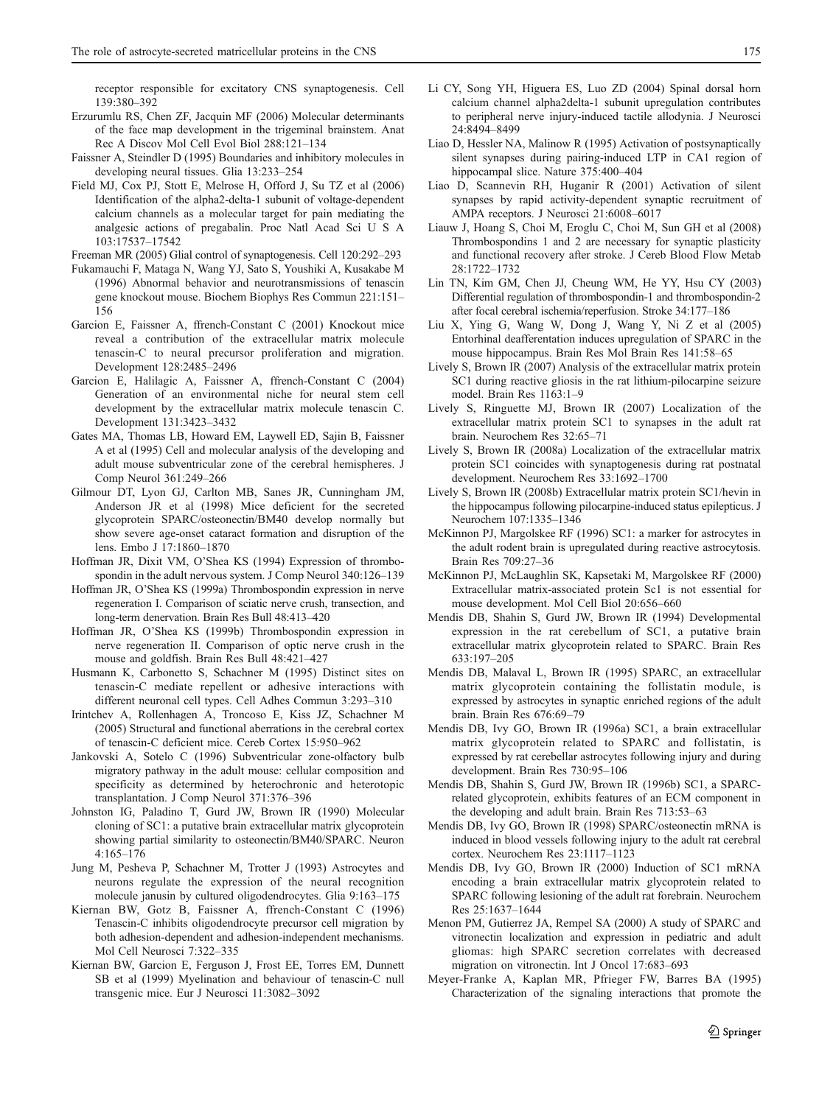<span id="page-8-0"></span>receptor responsible for excitatory CNS synaptogenesis. Cell 139:380–392

- Erzurumlu RS, Chen ZF, Jacquin MF (2006) Molecular determinants of the face map development in the trigeminal brainstem. Anat Rec A Discov Mol Cell Evol Biol 288:121–134
- Faissner A, Steindler D (1995) Boundaries and inhibitory molecules in developing neural tissues. Glia 13:233–254
- Field MJ, Cox PJ, Stott E, Melrose H, Offord J, Su TZ et al (2006) Identification of the alpha2-delta-1 subunit of voltage-dependent calcium channels as a molecular target for pain mediating the analgesic actions of pregabalin. Proc Natl Acad Sci U S A 103:17537–17542

Freeman MR (2005) Glial control of synaptogenesis. Cell 120:292–293

- Fukamauchi F, Mataga N, Wang YJ, Sato S, Youshiki A, Kusakabe M (1996) Abnormal behavior and neurotransmissions of tenascin gene knockout mouse. Biochem Biophys Res Commun 221:151– 156
- Garcion E, Faissner A, ffrench-Constant C (2001) Knockout mice reveal a contribution of the extracellular matrix molecule tenascin-C to neural precursor proliferation and migration. Development 128:2485–2496
- Garcion E, Halilagic A, Faissner A, ffrench-Constant C (2004) Generation of an environmental niche for neural stem cell development by the extracellular matrix molecule tenascin C. Development 131:3423–3432
- Gates MA, Thomas LB, Howard EM, Laywell ED, Sajin B, Faissner A et al (1995) Cell and molecular analysis of the developing and adult mouse subventricular zone of the cerebral hemispheres. J Comp Neurol 361:249–266
- Gilmour DT, Lyon GJ, Carlton MB, Sanes JR, Cunningham JM, Anderson JR et al (1998) Mice deficient for the secreted glycoprotein SPARC/osteonectin/BM40 develop normally but show severe age-onset cataract formation and disruption of the lens. Embo J 17:1860–1870
- Hoffman JR, Dixit VM, O'Shea KS (1994) Expression of thrombospondin in the adult nervous system. J Comp Neurol 340:126–139
- Hoffman JR, O'Shea KS (1999a) Thrombospondin expression in nerve regeneration I. Comparison of sciatic nerve crush, transection, and long-term denervation. Brain Res Bull 48:413–420
- Hoffman JR, O'Shea KS (1999b) Thrombospondin expression in nerve regeneration II. Comparison of optic nerve crush in the mouse and goldfish. Brain Res Bull 48:421–427
- Husmann K, Carbonetto S, Schachner M (1995) Distinct sites on tenascin-C mediate repellent or adhesive interactions with different neuronal cell types. Cell Adhes Commun 3:293–310
- Irintchev A, Rollenhagen A, Troncoso E, Kiss JZ, Schachner M (2005) Structural and functional aberrations in the cerebral cortex of tenascin-C deficient mice. Cereb Cortex 15:950–962
- Jankovski A, Sotelo C (1996) Subventricular zone-olfactory bulb migratory pathway in the adult mouse: cellular composition and specificity as determined by heterochronic and heterotopic transplantation. J Comp Neurol 371:376–396
- Johnston IG, Paladino T, Gurd JW, Brown IR (1990) Molecular cloning of SC1: a putative brain extracellular matrix glycoprotein showing partial similarity to osteonectin/BM40/SPARC. Neuron 4:165–176
- Jung M, Pesheva P, Schachner M, Trotter J (1993) Astrocytes and neurons regulate the expression of the neural recognition molecule janusin by cultured oligodendrocytes. Glia 9:163–175
- Kiernan BW, Gotz B, Faissner A, ffrench-Constant C (1996) Tenascin-C inhibits oligodendrocyte precursor cell migration by both adhesion-dependent and adhesion-independent mechanisms. Mol Cell Neurosci 7:322–335
- Kiernan BW, Garcion E, Ferguson J, Frost EE, Torres EM, Dunnett SB et al (1999) Myelination and behaviour of tenascin-C null transgenic mice. Eur J Neurosci 11:3082–3092
- Li CY, Song YH, Higuera ES, Luo ZD (2004) Spinal dorsal horn calcium channel alpha2delta-1 subunit upregulation contributes to peripheral nerve injury-induced tactile allodynia. J Neurosci 24:8494–8499
- Liao D, Hessler NA, Malinow R (1995) Activation of postsynaptically silent synapses during pairing-induced LTP in CA1 region of hippocampal slice. Nature 375:400–404
- Liao D, Scannevin RH, Huganir R (2001) Activation of silent synapses by rapid activity-dependent synaptic recruitment of AMPA receptors. J Neurosci 21:6008–6017
- Liauw J, Hoang S, Choi M, Eroglu C, Choi M, Sun GH et al (2008) Thrombospondins 1 and 2 are necessary for synaptic plasticity and functional recovery after stroke. J Cereb Blood Flow Metab 28:1722–1732
- Lin TN, Kim GM, Chen JJ, Cheung WM, He YY, Hsu CY (2003) Differential regulation of thrombospondin-1 and thrombospondin-2 after focal cerebral ischemia/reperfusion. Stroke 34:177–186
- Liu X, Ying G, Wang W, Dong J, Wang Y, Ni Z et al (2005) Entorhinal deafferentation induces upregulation of SPARC in the mouse hippocampus. Brain Res Mol Brain Res 141:58–65
- Lively S, Brown IR (2007) Analysis of the extracellular matrix protein SC1 during reactive gliosis in the rat lithium-pilocarpine seizure model. Brain Res 1163:1–9
- Lively S, Ringuette MJ, Brown IR (2007) Localization of the extracellular matrix protein SC1 to synapses in the adult rat brain. Neurochem Res 32:65–71
- Lively S, Brown IR (2008a) Localization of the extracellular matrix protein SC1 coincides with synaptogenesis during rat postnatal development. Neurochem Res 33:1692–1700
- Lively S, Brown IR (2008b) Extracellular matrix protein SC1/hevin in the hippocampus following pilocarpine-induced status epilepticus. J Neurochem 107:1335–1346
- McKinnon PJ, Margolskee RF (1996) SC1: a marker for astrocytes in the adult rodent brain is upregulated during reactive astrocytosis. Brain Res 709:27–36
- McKinnon PJ, McLaughlin SK, Kapsetaki M, Margolskee RF (2000) Extracellular matrix-associated protein Sc1 is not essential for mouse development. Mol Cell Biol 20:656–660
- Mendis DB, Shahin S, Gurd JW, Brown IR (1994) Developmental expression in the rat cerebellum of SC1, a putative brain extracellular matrix glycoprotein related to SPARC. Brain Res 633:197–205
- Mendis DB, Malaval L, Brown IR (1995) SPARC, an extracellular matrix glycoprotein containing the follistatin module, is expressed by astrocytes in synaptic enriched regions of the adult brain. Brain Res 676:69–79
- Mendis DB, Ivy GO, Brown IR (1996a) SC1, a brain extracellular matrix glycoprotein related to SPARC and follistatin, is expressed by rat cerebellar astrocytes following injury and during development. Brain Res 730:95–106
- Mendis DB, Shahin S, Gurd JW, Brown IR (1996b) SC1, a SPARCrelated glycoprotein, exhibits features of an ECM component in the developing and adult brain. Brain Res 713:53–63
- Mendis DB, Ivy GO, Brown IR (1998) SPARC/osteonectin mRNA is induced in blood vessels following injury to the adult rat cerebral cortex. Neurochem Res 23:1117–1123
- Mendis DB, Ivy GO, Brown IR (2000) Induction of SC1 mRNA encoding a brain extracellular matrix glycoprotein related to SPARC following lesioning of the adult rat forebrain. Neurochem Res 25:1637–1644
- Menon PM, Gutierrez JA, Rempel SA (2000) A study of SPARC and vitronectin localization and expression in pediatric and adult gliomas: high SPARC secretion correlates with decreased migration on vitronectin. Int J Oncol 17:683–693
- Meyer-Franke A, Kaplan MR, Pfrieger FW, Barres BA (1995) Characterization of the signaling interactions that promote the